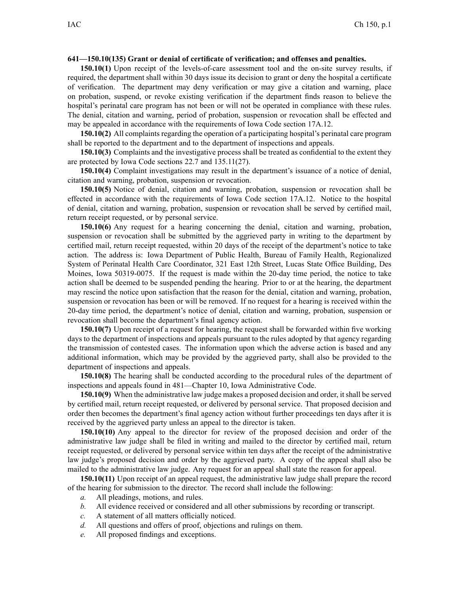## **641—150.10(135) Grant or denial of certificate of verification; and offenses and penalties.**

**150.10(1)** Upon receipt of the levels-of-care assessment tool and the on-site survey results, if required, the department shall within 30 days issue its decision to gran<sup>t</sup> or deny the hospital <sup>a</sup> certificate of verification. The department may deny verification or may give <sup>a</sup> citation and warning, place on probation, suspend, or revoke existing verification if the department finds reason to believe the hospital's perinatal care program has not been or will not be operated in compliance with these rules. The denial, citation and warning, period of probation, suspension or revocation shall be effected and may be appealed in accordance with the requirements of Iowa Code section [17A.12](https://www.legis.iowa.gov/docs/ico/section/17A.12.pdf).

**150.10(2)** All complaints regarding the operation of <sup>a</sup> participating hospital's perinatal care program shall be reported to the department and to the department of inspections and appeals.

**150.10(3)** Complaints and the investigative process shall be treated as confidential to the extent they are protected by Iowa Code sections [22.7](https://www.legis.iowa.gov/docs/ico/section/2018/22.7.pdf) and [135.11\(27\)](https://www.legis.iowa.gov/docs/ico/section/2018/135.11.pdf).

**150.10(4)** Complaint investigations may result in the department's issuance of <sup>a</sup> notice of denial, citation and warning, probation, suspension or revocation.

**150.10(5)** Notice of denial, citation and warning, probation, suspension or revocation shall be effected in accordance with the requirements of Iowa Code section [17A.12](https://www.legis.iowa.gov/docs/ico/section/17A.12.pdf). Notice to the hospital of denial, citation and warning, probation, suspension or revocation shall be served by certified mail, return receipt requested, or by personal service.

**150.10(6)** Any reques<sup>t</sup> for <sup>a</sup> hearing concerning the denial, citation and warning, probation, suspension or revocation shall be submitted by the aggrieved party in writing to the department by certified mail, return receipt requested, within 20 days of the receipt of the department's notice to take action. The address is: Iowa Department of Public Health, Bureau of Family Health, Regionalized System of Perinatal Health Care Coordinator, 321 East 12th Street, Lucas State Office Building, Des Moines, Iowa 50319-0075. If the reques<sup>t</sup> is made within the 20-day time period, the notice to take action shall be deemed to be suspended pending the hearing. Prior to or at the hearing, the department may rescind the notice upon satisfaction that the reason for the denial, citation and warning, probation, suspension or revocation has been or will be removed. If no reques<sup>t</sup> for <sup>a</sup> hearing is received within the 20-day time period, the department's notice of denial, citation and warning, probation, suspension or revocation shall become the department's final agency action.

**150.10(7)** Upon receipt of <sup>a</sup> reques<sup>t</sup> for hearing, the reques<sup>t</sup> shall be forwarded within five working days to the department of inspections and appeals pursuan<sup>t</sup> to the rules adopted by that agency regarding the transmission of contested cases. The information upon which the adverse action is based and any additional information, which may be provided by the aggrieved party, shall also be provided to the department of inspections and appeals.

**150.10(8)** The hearing shall be conducted according to the procedural rules of the department of inspections and appeals found in [481—Chapter](https://www.legis.iowa.gov/docs/iac/chapter/481.10.pdf) 10, Iowa Administrative Code.

**150.10(9)** When the administrative law judge makes <sup>a</sup> proposed decision and order, itshall be served by certified mail, return receipt requested, or delivered by personal service. That proposed decision and order then becomes the department's final agency action without further proceedings ten days after it is received by the aggrieved party unless an appeal to the director is taken.

**150.10(10)** Any appeal to the director for review of the proposed decision and order of the administrative law judge shall be filed in writing and mailed to the director by certified mail, return receipt requested, or delivered by personal service within ten days after the receipt of the administrative law judge's proposed decision and order by the aggrieved party. A copy of the appeal shall also be mailed to the administrative law judge. Any reques<sup>t</sup> for an appeal shall state the reason for appeal.

**150.10(11)** Upon receipt of an appeal request, the administrative law judge shall prepare the record of the hearing for submission to the director. The record shall include the following:

- *a.* All pleadings, motions, and rules.
- *b.* All evidence received or considered and all other submissions by recording or transcript.
- *c.* A statement of all matters officially noticed.
- *d.* All questions and offers of proof, objections and rulings on them.
- *e.* All proposed findings and exceptions.